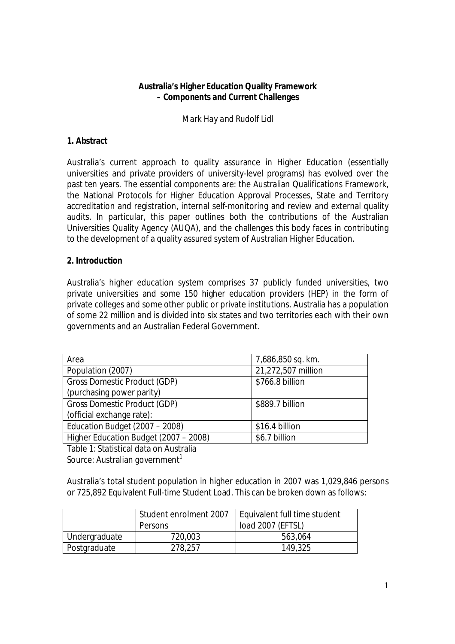# **Australia's Higher Education Quality Framework – Components and Current Challenges**

*Mark Hay and Rudolf Lidl*

### **1. Abstract**

Australia's current approach to quality assurance in Higher Education (essentially universities and private providers of university-level programs) has evolved over the past ten years. The essential components are: the Australian Qualifications Framework, the National Protocols for Higher Education Approval Processes, State and Territory accreditation and registration, internal self-monitoring and review and external quality audits. In particular, this paper outlines both the contributions of the Australian Universities Quality Agency (AUQA), and the challenges this body faces in contributing to the development of a quality assured system of Australian Higher Education.

#### **2. Introduction**

Australia's higher education system comprises 37 publicly funded universities, two private universities and some 150 higher education providers (HEP) in the form of private colleges and some other public or private institutions. Australia has a population of some 22 million and is divided into six states and two territories each with their own governments and an Australian Federal Government.

| Area                                  | 7,686,850 sq. km.  |
|---------------------------------------|--------------------|
| Population (2007)                     | 21,272,507 million |
| Gross Domestic Product (GDP)          | \$766.8 billion    |
| (purchasing power parity)             |                    |
| Gross Domestic Product (GDP)          | \$889.7 billion    |
| (official exchange rate):             |                    |
| Education Budget (2007 - 2008)        | \$16.4 billion     |
| Higher Education Budget (2007 - 2008) | \$6.7 billion      |

Table 1: Statistical data on Australia Source: Australian government<sup>1</sup>

Australia's total student population in higher education in 2007 was 1,029,846 persons or 725,892 Equivalent Full-time Student Load. This can be broken down as follows:

|               | Student enrolment 2007<br>Persons | Equivalent full time student<br>load 2007 (EFTSL) |
|---------------|-----------------------------------|---------------------------------------------------|
| Undergraduate | 720,003                           | 563,064                                           |
| Postgraduate  | 278,257                           | 149,325                                           |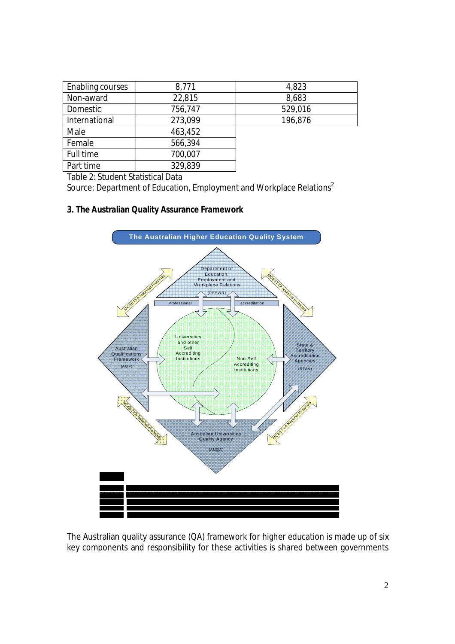| Enabling courses | 8,771   | 4,823   |
|------------------|---------|---------|
| Non-award        | 22,815  | 8,683   |
| Domestic         | 756,747 | 529,016 |
| International    | 273,099 | 196,876 |
| Male             | 463,452 |         |
| Female           | 566,394 |         |
| Full time        | 700,007 |         |
| Part time        | 329,839 |         |

Table 2: Student Statistical Data

Source: Department of Education, Employment and Workplace Relations<sup>2</sup>

# **3. The Australian Quality Assurance Framework**



The Australian quality assurance (QA) framework for higher education is made up of six key components and responsibility for these activities is shared between governments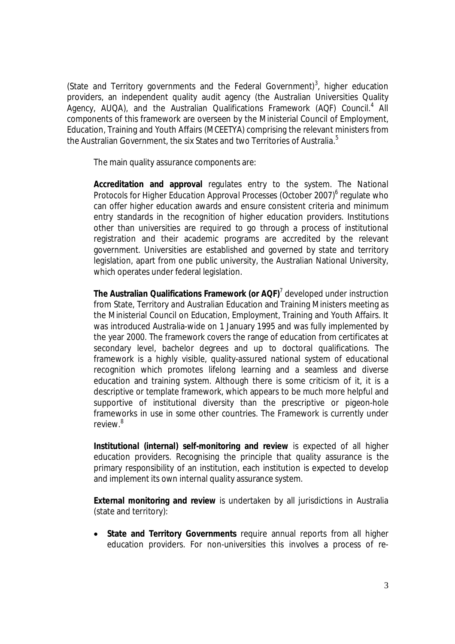(State and Territory governments and the Federal Government)<sup>3</sup>, higher education providers, an independent quality audit agency (the Australian Universities Quality Agency, AUQA), and the Australian Qualifications Framework (AQF) Council.<sup>4</sup> All components of this framework are overseen by the Ministerial Council of Employment, Education, Training and Youth Affairs (MCEETYA) comprising the relevant ministers from the Australian Government, the six States and two Territories of Australia.<sup>5</sup>

The main quality assurance components are:

**Accreditation and approval** regulates entry to the system. The *National*  Protocols for Higher Education Approval Processes (October 2007)<sup>6</sup> regulate who can offer higher education awards and ensure consistent criteria and minimum entry standards in the recognition of higher education providers. Institutions other than universities are required to go through a process of institutional registration and their academic programs are accredited by the relevant government. Universities are established and governed by state and territory legislation, apart from one public university, the Australian National University, which operates under federal legislation.

**The Australian Qualifications Framework (or AQF)**<sup>7</sup> developed under instruction from State, Territory and Australian Education and Training Ministers meeting as the Ministerial Council on Education, Employment, Training and Youth Affairs. It was introduced Australia-wide on 1 January 1995 and was fully implemented by the year 2000. The framework covers the range of education from certificates at secondary level, bachelor degrees and up to doctoral qualifications. The framework is a highly visible, quality-assured national system of educational recognition which promotes lifelong learning and a seamless and diverse education and training system. Although there is some criticism of it, it is a descriptive or template framework, which appears to be much more helpful and supportive of institutional diversity than the prescriptive or pigeon-hole frameworks in use in some other countries. The Framework is currently under  $r$ eview $^{8}$ 

**Institutional (internal) self-monitoring and review** is expected of all higher education providers. Recognising the principle that quality assurance is the primary responsibility of an institution, each institution is expected to develop and implement its own internal quality assurance system.

**External monitoring and review** is undertaken by all jurisdictions in Australia (state and territory):

 **State and Territory Governments** require annual reports from all higher education providers. For non-universities this involves a process of re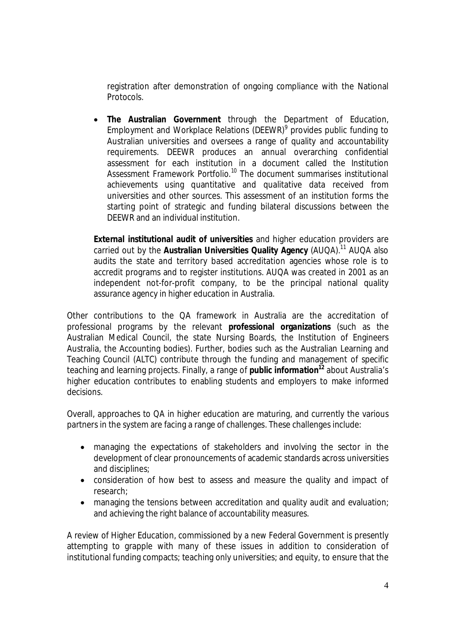registration after demonstration of ongoing compliance with the National Protocols.

 **The Australian Government** through the Department of Education, Employment and Workplace Relations (DEEWR)<sup>9</sup> provides public funding to Australian universities and oversees a range of quality and accountability requirements. DEEWR produces an annual overarching confidential assessment for each institution in a document called the *Institution Assessment Framework Portfolio.<sup>10</sup>* The document summarises institutional achievements using quantitative and qualitative data received from universities and other sources. This assessment of an institution forms the starting point of strategic and funding bilateral discussions between the DEEWR and an individual institution.

**External institutional audit of universities** and higher education providers are carried out by the **Australian Universities Quality Agency** (AUQA).<sup>11</sup> AUQA also audits the state and territory based accreditation agencies whose role is to accredit programs and to register institutions. AUQA was created in 2001 as an independent not-for-profit company, to be the principal national quality assurance agency in higher education in Australia.

Other contributions to the QA framework in Australia are the accreditation of professional programs by the relevant **professional organizations** (such as the Australian Medical Council, the state Nursing Boards, the Institution of Engineers Australia, the Accounting bodies). Further, bodies such as the Australian Learning and Teaching Council (ALTC) contribute through the funding and management of specific teaching and learning projects. Finally, a range of **public information<sup>12</sup>** about Australia's higher education contributes to enabling students and employers to make informed decisions.

Overall, approaches to QA in higher education are maturing, and currently the various partners in the system are facing a range of challenges. These challenges include:

- managing the expectations of stakeholders and involving the sector in the development of clear pronouncements of academic standards across universities and disciplines;
- consideration of how best to assess and measure the quality and impact of research;
- managing the tensions between accreditation and quality audit and evaluation; and achieving the right balance of accountability measures.

A review of Higher Education, commissioned by a new Federal Government is presently attempting to grapple with many of these issues in addition to consideration of institutional funding compacts; teaching only universities; and equity, to ensure that the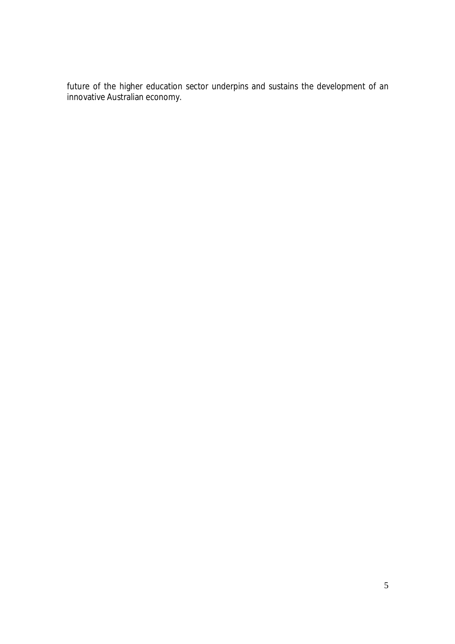future of the higher education sector underpins and sustains the development of an innovative Australian economy.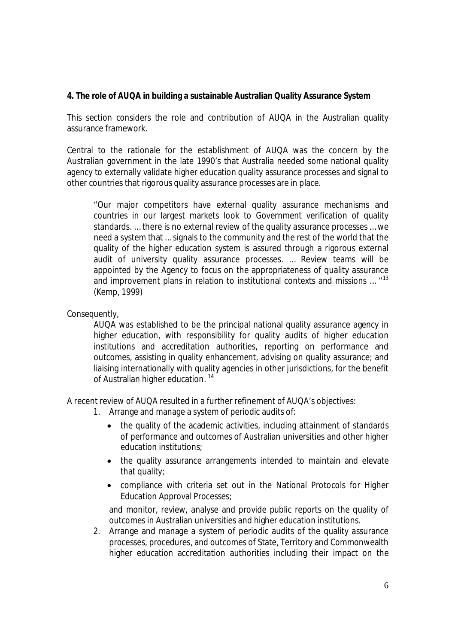# **4. The role of AUQA in building a sustainable Australian Quality Assurance System**

This section considers the role and contribution of AUQA in the Australian quality assurance framework.

Central to the rationale for the establishment of AUQA was the concern by the Australian government in the late 1990's that Australia needed some national quality agency to externally validate higher education quality assurance processes and signal to other countries that rigorous quality assurance processes are in place.

"Our major competitors have external quality assurance mechanisms and countries in our largest markets look to Government verification of quality standards. … there is no external review of the quality assurance processes … we need a system that … signals to the community and the rest of the world that the quality of the higher education system is assured through a rigorous external audit of university quality assurance processes. … Review teams will be appointed by the Agency to focus on the appropriateness of quality assurance and improvement plans in relation to institutional contexts and missions ... "<sup>13</sup> (Kemp, 1999)

Consequently,

AUQA was established to be the principal national quality assurance agency in higher education, with responsibility for quality audits of higher education institutions and accreditation authorities, reporting on performance and outcomes, assisting in quality enhancement, advising on quality assurance; and liaising internationally with quality agencies in other jurisdictions, for the benefit of Australian higher education.<sup>14</sup>

A recent review of AUQA resulted in a further refinement of AUQA's objectives:

- 1. Arrange and manage a system of periodic audits of:
	- the quality of the academic activities, including attainment of standards of performance and outcomes of Australian universities and other higher education institutions;
	- the quality assurance arrangements intended to maintain and elevate that quality;
	- compliance with criteria set out in the National Protocols for Higher Education Approval Processes;

and monitor, review, analyse and provide public reports on the quality of outcomes in Australian universities and higher education institutions.

2. Arrange and manage a system of periodic audits of the quality assurance processes, procedures, and outcomes of State, Territory and Commonwealth higher education accreditation authorities including their impact on the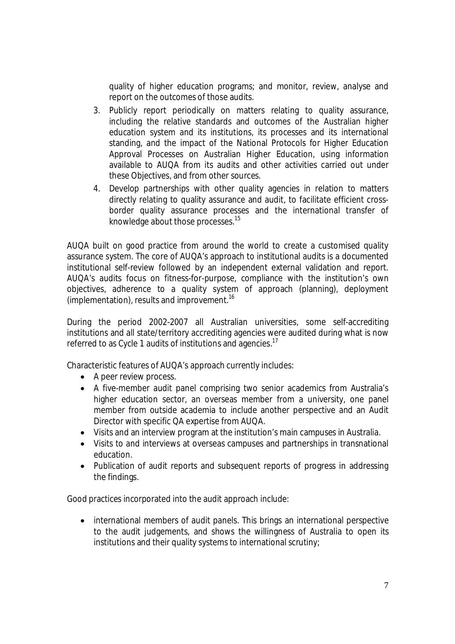quality of higher education programs; and monitor, review, analyse and report on the outcomes of those audits.

- 3. Publicly report periodically on matters relating to quality assurance, including the relative standards and outcomes of the Australian higher education system and its institutions, its processes and its international standing, and the impact of the National Protocols for Higher Education Approval Processes on Australian Higher Education, using information available to AUQA from its audits and other activities carried out under these Objectives, and from other sources.
- 4. Develop partnerships with other quality agencies in relation to matters directly relating to quality assurance and audit, to facilitate efficient crossborder quality assurance processes and the international transfer of knowledge about those processes.<sup>15</sup>

AUQA built on good practice from around the world to create a customised quality assurance system. The core of AUQA's approach to institutional audits is a documented institutional self-review followed by an independent external validation and report. AUQA's audits focus on fitness-for-purpose, compliance with the institution's own objectives, adherence to a quality system of approach (planning), deployment (implementation), results and improvement.<sup>16</sup>

During the period 2002-2007 all Australian universities, some self-accrediting institutions and all state/territory accrediting agencies were audited during what is now referred to as Cycle 1 audits of institutions and agencies.<sup>17</sup>

Characteristic features of AUQA's approach currently includes:

- A peer review process.
- A five-member audit panel comprising two senior academics from Australia's higher education sector, an overseas member from a university, one panel member from outside academia to include another perspective and an Audit Director with specific QA expertise from AUQA.
- Visits and an interview program at the institution's main campuses in Australia.
- Visits to and interviews at overseas campuses and partnerships in transnational education.
- Publication of audit reports and subsequent reports of progress in addressing the findings.

Good practices incorporated into the audit approach include:

• international members of audit panels. This brings an international perspective to the audit judgements, and shows the willingness of Australia to open its institutions and their quality systems to international scrutiny;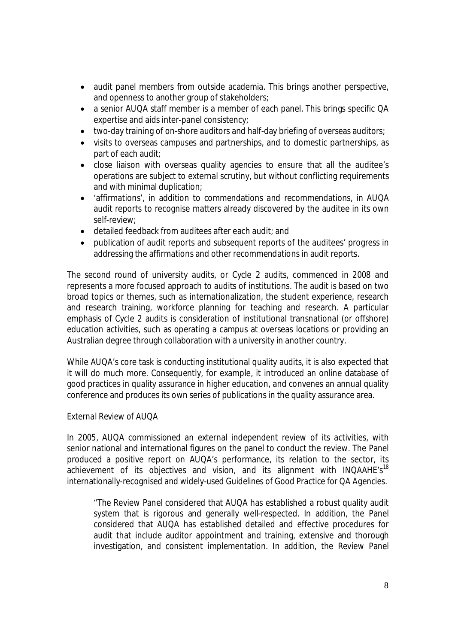- audit panel members from outside academia. This brings another perspective, and openness to another group of stakeholders;
- a senior AUQA staff member is a member of each panel. This brings specific QA expertise and aids inter-panel consistency;
- two-day training of on-shore auditors and half-day briefing of overseas auditors;
- visits to overseas campuses and partnerships, and to domestic partnerships, as part of each audit;
- close liaison with overseas quality agencies to ensure that all the auditee's operations are subject to external scrutiny, but without conflicting requirements and with minimal duplication;
- 'affirmations', in addition to commendations and recommendations, in AUQA audit reports to recognise matters already discovered by the auditee in its own self-review;
- detailed feedback from auditees after each audit; and
- publication of audit reports and subsequent reports of the auditees' progress in addressing the affirmations and other recommendations in audit reports.

The second round of university audits, or Cycle 2 audits, commenced in 2008 and represents a more focused approach to audits of institutions. The audit is based on two broad topics or themes, such as internationalization, the student experience, research and research training, workforce planning for teaching and research. A particular emphasis of Cycle 2 audits is consideration of institutional transnational (or offshore) education activities, such as operating a campus at overseas locations or providing an Australian degree through collaboration with a university in another country.

While AUQA's core task is conducting institutional quality audits, it is also expected that it will do much more. Consequently, for example, it introduced an online database of good practices in quality assurance in higher education, and convenes an annual quality conference and produces its own series of publications in the quality assurance area.

### *External Review of AUQA*

In 2005, AUQA commissioned an external independent review of its activities, with senior national and international figures on the panel to conduct the review. The Panel produced a positive report on AUQA's performance, its relation to the sector, its achievement of its objectives and vision, and its alignment with INQAAHE's<sup>18</sup> internationally-recognised and widely-used *Guidelines of Good Practice for QA Agencies*.

"The Review Panel considered that AUQA has established a robust quality audit system that is rigorous and generally well-respected. In addition, the Panel considered that AUQA has established detailed and effective procedures for audit that include auditor appointment and training, extensive and thorough investigation, and consistent implementation. In addition, the Review Panel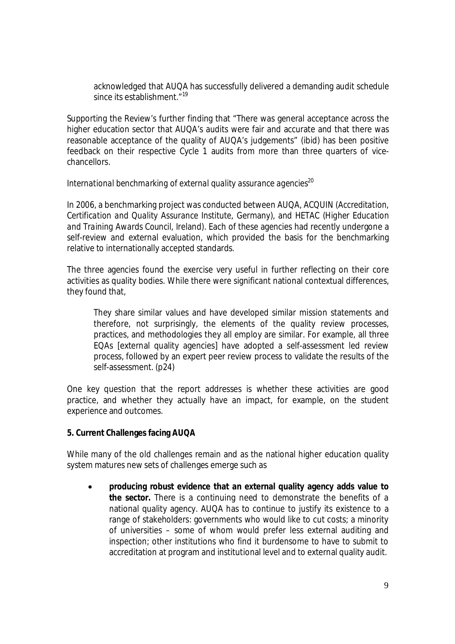acknowledged that AUQA has successfully delivered a demanding audit schedule since its establishment."<sup>19</sup>

Supporting the Review's further finding that "There was general acceptance across the higher education sector that AUQA's audits were fair and accurate and that there was reasonable acceptance of the quality of AUQA's judgements" (ibid) has been positive feedback on their respective Cycle 1 audits from more than three quarters of vicechancellors.

### *International benchmarking of external quality assurance agencies<sup>20</sup>*

In 2006, a benchmarking project was conducted between AUQA, ACQUIN (*Accreditation, Certification and Quality Assurance Institute*, Germany), and HETAC (*Higher Education and Training Awards Council*, Ireland). Each of these agencies had recently undergone a self-review and external evaluation, which provided the basis for the benchmarking relative to internationally accepted standards.

The three agencies found the exercise very useful in further reflecting on their core activities as quality bodies. While there were significant national contextual differences, they found that,

They share similar values and have developed similar mission statements and therefore, not surprisingly, the elements of the quality review processes, practices, and methodologies they all employ are similar. For example, all three EQAs [external quality agencies] have adopted a self-assessment led review process, followed by an expert peer review process to validate the results of the self-assessment. (p24)

One key question that the report addresses is whether these activities are good practice, and whether they actually have an impact, for example, on the student experience and outcomes.

### **5. Current Challenges facing AUQA**

While many of the old challenges remain and as the national higher education quality system matures new sets of challenges emerge such as

 **producing robust evidence that an external quality agency adds value to the sector.** There is a continuing need to demonstrate the benefits of a national quality agency. AUQA has to continue to justify its existence to a range of stakeholders: governments who would like to cut costs; a minority of universities – some of whom would prefer less external auditing and inspection; other institutions who find it burdensome to have to submit to accreditation at program and institutional level and to external quality audit.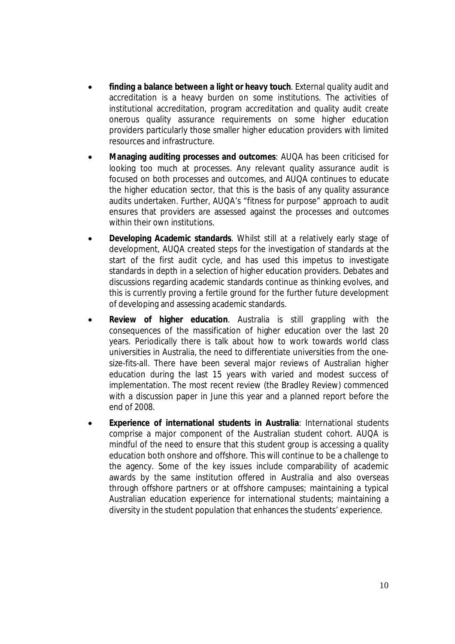- **finding a balance between a** *light* **or** *heavy* **touch**. External quality audit and accreditation is a heavy burden on some institutions. The activities of institutional accreditation, program accreditation and quality audit create onerous quality assurance requirements on some higher education providers particularly those smaller higher education providers with limited resources and infrastructure.
- **Managing auditing processes and outcomes**: AUQA has been criticised for looking too much at processes. Any relevant quality assurance audit is focused on both processes and outcomes, and AUQA continues to educate the higher education sector, that this is the basis of any quality assurance audits undertaken. Further, AUQA's "fitness for purpose" approach to audit ensures that providers are assessed against the processes and outcomes within their own institutions.
- **Developing Academic standards**. Whilst still at a relatively early stage of development, AUQA created steps for the investigation of standards at the start of the first audit cycle, and has used this impetus to investigate standards in depth in a selection of higher education providers. Debates and discussions regarding academic standards continue as thinking evolves, and this is currently proving a fertile ground for the further future development of developing and assessing academic standards.
- **Review of higher education**. Australia is still grappling with the consequences of the massification of higher education over the last 20 years. Periodically there is talk about how to work towards world class universities in Australia, the need to differentiate universities from the onesize-fits-all. There have been several major reviews of Australian higher education during the last 15 years with varied and modest success of implementation. The most recent review (the Bradley Review) commenced with a discussion paper in June this year and a planned report before the end of 2008.
- **Experience of international students in Australia**: International students comprise a major component of the Australian student cohort. AUQA is mindful of the need to ensure that this student group is accessing a quality education both onshore and offshore. This will continue to be a challenge to the agency. Some of the key issues include comparability of academic awards by the same institution offered in Australia and also overseas through offshore partners or at offshore campuses; maintaining a typical Australian education experience for international students; maintaining a diversity in the student population that enhances the students' experience.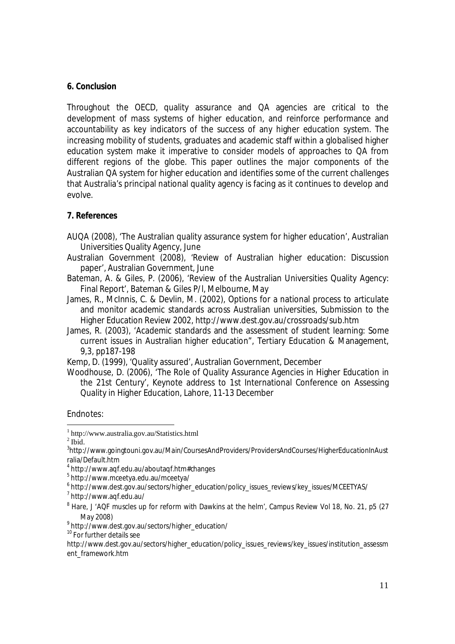### **6. Conclusion**

Throughout the OECD, quality assurance and QA agencies are critical to the development of mass systems of higher education, and reinforce performance and accountability as key indicators of the success of any higher education system. The increasing mobility of students, graduates and academic staff within a globalised higher education system make it imperative to consider models of approaches to QA from different regions of the globe. This paper outlines the major components of the Australian QA system for higher education and identifies some of the current challenges that Australia's principal national quality agency is facing as it continues to develop and evolve.

#### **7. References**

- AUQA (2008), 'The Australian quality assurance system for higher education', Australian Universities Quality Agency, June
- Australian Government (2008), 'Review of Australian higher education: Discussion paper', Australian Government, June
- Bateman, A. & Giles, P. (2006), 'Review of the Australian Universities Quality Agency: Final Report', Bateman & Giles P/l, Melbourne, May
- James, R., McInnis, C. & Devlin, M. (2002), Options for a national process to articulate and monitor academic standards across Australian universities, Submission to the Higher Education Review 2002, http://www.dest.gov.au/crossroads/sub.htm
- James, R. (2003), 'Academic standards and the assessment of student learning: Some current issues in Australian higher education", Tertiary Education & Management, 9,3, pp187-198
- Kemp, D. (1999), 'Quality assured', Australian Government, December
- Woodhouse, D. (2006), 'The Role of Quality Assurance Agencies in Higher Education in the 21st Century', Keynote address to 1st International Conference on Assessing Quality in Higher Education, Lahore, 11-13 December

Endnotes:

 1 http://www.australia.gov.au/Statistics.html

 $<sup>2</sup>$  Ibid.</sup>

<sup>&</sup>lt;sup>3</sup>http://www.goingtouni.gov.au/Main/CoursesAndProviders/ProvidersAndCourses/HigherEducationInAust ralia/Default.htm

<sup>4</sup> http://www.aqf.edu.au/aboutaqf.htm#changes

<sup>5</sup> http://www.mceetya.edu.au/mceetya/

<sup>6</sup> http://www.dest.gov.au/sectors/higher\_education/policy\_issues\_reviews/key\_issues/MCEETYAS/

<sup>&</sup>lt;sup>7</sup> http://www.aqf.edu.au/

<sup>&</sup>lt;sup>8</sup> Hare, J 'AQF muscles up for reform with Dawkins at the helm', Campus Review Vol 18, No. 21, p5 (27 May 2008)

<sup>9</sup> http://www.dest.gov.au/sectors/higher\_education/

<sup>&</sup>lt;sup>10</sup> For further details see

http://www.dest.gov.au/sectors/higher\_education/policy\_issues\_reviews/key\_issues/institution\_assessm ent\_framework.htm